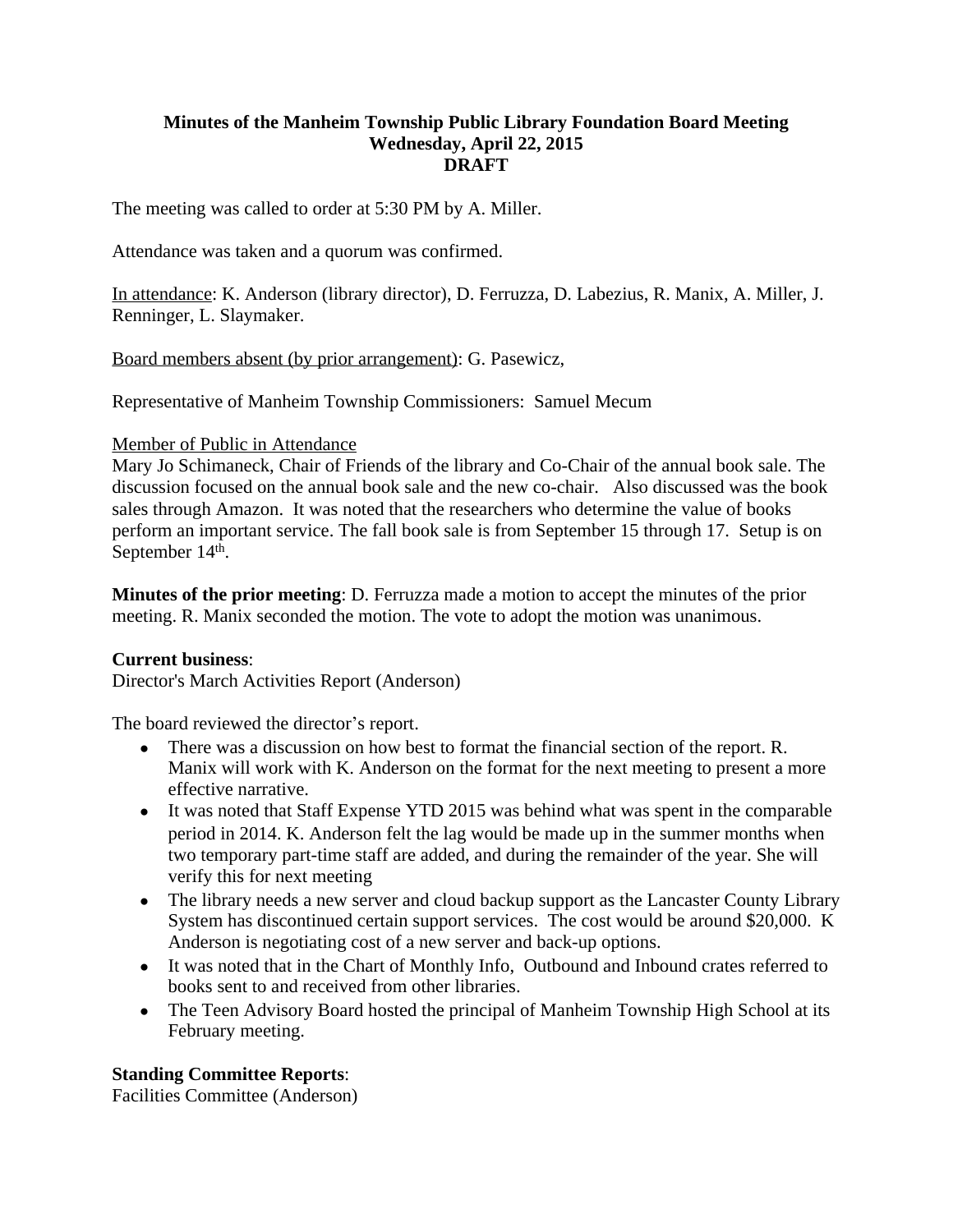#### **Minutes of the Manheim Township Public Library Foundation Board Meeting Wednesday, April 22, 2015 DRAFT**

The meeting was called to order at 5:30 PM by A. Miller.

Attendance was taken and a quorum was confirmed.

In attendance: K. Anderson (library director), D. Ferruzza, D. Labezius, R. Manix, A. Miller, J. Renninger, L. Slaymaker.

Board members absent (by prior arrangement): G. Pasewicz,

Representative of Manheim Township Commissioners: Samuel Mecum

#### Member of Public in Attendance

Mary Jo Schimaneck, Chair of Friends of the library and Co-Chair of the annual book sale. The discussion focused on the annual book sale and the new co-chair. Also discussed was the book sales through Amazon. It was noted that the researchers who determine the value of books perform an important service. The fall book sale is from September 15 through 17. Setup is on September 14<sup>th</sup>.

**Minutes of the prior meeting**: D. Ferruzza made a motion to accept the minutes of the prior meeting. R. Manix seconded the motion. The vote to adopt the motion was unanimous.

### **Current business**:

Director's March Activities Report (Anderson)

The board reviewed the director's report.

- There was a discussion on how best to format the financial section of the report. R. Manix will work with K. Anderson on the format for the next meeting to present a more effective narrative.
- It was noted that Staff Expense YTD 2015 was behind what was spent in the comparable period in 2014. K. Anderson felt the lag would be made up in the summer months when two temporary part-time staff are added, and during the remainder of the year. She will verify this for next meeting
- The library needs a new server and cloud backup support as the Lancaster County Library System has discontinued certain support services. The cost would be around \$20,000. K Anderson is negotiating cost of a new server and back-up options.
- It was noted that in the Chart of Monthly Info, Outbound and Inbound crates referred to books sent to and received from other libraries.
- The Teen Advisory Board hosted the principal of Manheim Township High School at its February meeting.

### **Standing Committee Reports**:

Facilities Committee (Anderson)